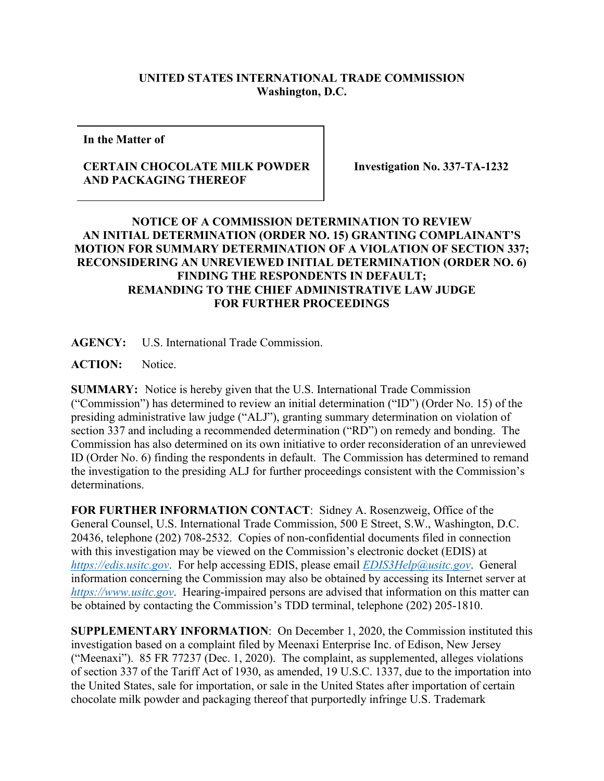## **UNITED STATES INTERNATIONAL TRADE COMMISSION Washington, D.C.**

**In the Matter of** 

## **CERTAIN CHOCOLATE MILK POWDER AND PACKAGING THEREOF**

**Investigation No. 337-TA-1232**

## **NOTICE OF A COMMISSION DETERMINATION TO REVIEW AN INITIAL DETERMINATION (ORDER NO. 15) GRANTING COMPLAINANT'S MOTION FOR SUMMARY DETERMINATION OF A VIOLATION OF SECTION 337; RECONSIDERING AN UNREVIEWED INITIAL DETERMINATION (ORDER NO. 6) FINDING THE RESPONDENTS IN DEFAULT; REMANDING TO THE CHIEF ADMINISTRATIVE LAW JUDGE FOR FURTHER PROCEEDINGS**

**AGENCY:** U.S. International Trade Commission.

**ACTION:** Notice.

**SUMMARY:** Notice is hereby given that the U.S. International Trade Commission ("Commission") has determined to review an initial determination ("ID") (Order No. 15) of the presiding administrative law judge ("ALJ"), granting summary determination on violation of section 337 and including a recommended determination ("RD") on remedy and bonding. The Commission has also determined on its own initiative to order reconsideration of an unreviewed ID (Order No. 6) finding the respondents in default. The Commission has determined to remand the investigation to the presiding ALJ for further proceedings consistent with the Commission's determinations.

**FOR FURTHER INFORMATION CONTACT**: Sidney A. Rosenzweig, Office of the General Counsel, U.S. International Trade Commission, 500 E Street, S.W., Washington, D.C. 20436, telephone (202) 708-2532. Copies of non-confidential documents filed in connection with this investigation may be viewed on the Commission's electronic docket (EDIS) at *[https://edis.usitc.gov](https://edis.usitc.gov/)*. For help accessing EDIS, please email *[EDIS3Help@usitc.gov](mailto:EDIS3Help@usitc.gov)*. General information concerning the Commission may also be obtained by accessing its Internet server at *[https://www.usitc.gov](https://www.usitc.gov/)*. Hearing-impaired persons are advised that information on this matter can be obtained by contacting the Commission's TDD terminal, telephone (202) 205-1810.

**SUPPLEMENTARY INFORMATION**: On December 1, 2020, the Commission instituted this investigation based on a complaint filed by Meenaxi Enterprise Inc. of Edison, New Jersey ("Meenaxi"). 85 FR 77237 (Dec. 1, 2020). The complaint, as supplemented, alleges violations of section 337 of the Tariff Act of 1930, as amended, 19 U.S.C. 1337, due to the importation into the United States, sale for importation, or sale in the United States after importation of certain chocolate milk powder and packaging thereof that purportedly infringe U.S. Trademark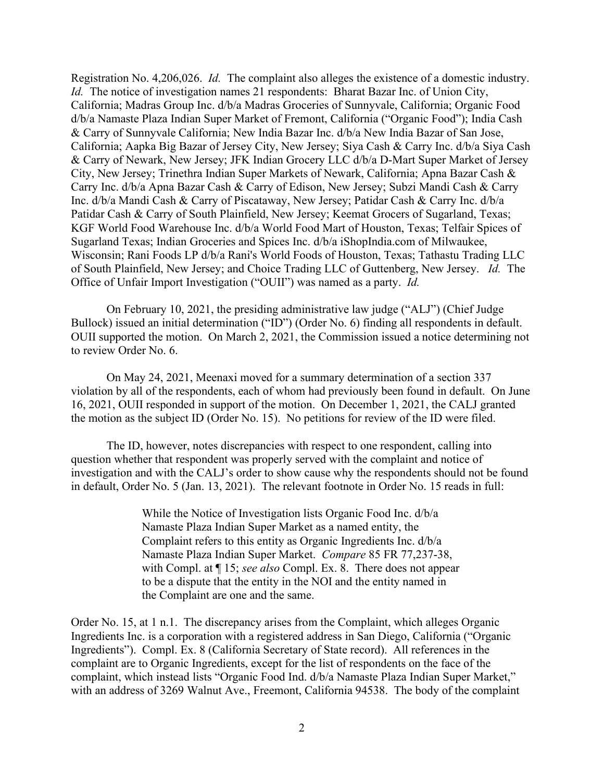Registration No. 4,206,026. *Id.* The complaint also alleges the existence of a domestic industry. *Id.* The notice of investigation names 21 respondents: Bharat Bazar Inc. of Union City, California; Madras Group Inc. d/b/a Madras Groceries of Sunnyvale, California; Organic Food d/b/a Namaste Plaza Indian Super Market of Fremont, California ("Organic Food"); India Cash & Carry of Sunnyvale California; New India Bazar Inc. d/b/a New India Bazar of San Jose, California; Aapka Big Bazar of Jersey City, New Jersey; Siya Cash & Carry Inc. d/b/a Siya Cash & Carry of Newark, New Jersey; JFK Indian Grocery LLC d/b/a D-Mart Super Market of Jersey City, New Jersey; Trinethra Indian Super Markets of Newark, California; Apna Bazar Cash & Carry Inc. d/b/a Apna Bazar Cash & Carry of Edison, New Jersey; Subzi Mandi Cash & Carry Inc. d/b/a Mandi Cash & Carry of Piscataway, New Jersey; Patidar Cash & Carry Inc. d/b/a Patidar Cash & Carry of South Plainfield, New Jersey; Keemat Grocers of Sugarland, Texas; KGF World Food Warehouse Inc. d/b/a World Food Mart of Houston, Texas; Telfair Spices of Sugarland Texas; Indian Groceries and Spices Inc. d/b/a iShopIndia.com of Milwaukee, Wisconsin; Rani Foods LP d/b/a Rani's World Foods of Houston, Texas; Tathastu Trading LLC of South Plainfield, New Jersey; and Choice Trading LLC of Guttenberg, New Jersey. *Id.* The Office of Unfair Import Investigation ("OUII") was named as a party. *Id.*

On February 10, 2021, the presiding administrative law judge ("ALJ") (Chief Judge Bullock) issued an initial determination ("ID") (Order No. 6) finding all respondents in default. OUII supported the motion. On March 2, 2021, the Commission issued a notice determining not to review Order No. 6.

On May 24, 2021, Meenaxi moved for a summary determination of a section 337 violation by all of the respondents, each of whom had previously been found in default. On June 16, 2021, OUII responded in support of the motion. On December 1, 2021, the CALJ granted the motion as the subject ID (Order No. 15). No petitions for review of the ID were filed.

The ID, however, notes discrepancies with respect to one respondent, calling into question whether that respondent was properly served with the complaint and notice of investigation and with the CALJ's order to show cause why the respondents should not be found in default, Order No. 5 (Jan. 13, 2021). The relevant footnote in Order No. 15 reads in full:

> While the Notice of Investigation lists Organic Food Inc. d/b/a Namaste Plaza Indian Super Market as a named entity, the Complaint refers to this entity as Organic Ingredients Inc. d/b/a Namaste Plaza Indian Super Market. *Compare* 85 FR 77,237-38, with Compl. at ¶ 15; *see also* Compl. Ex. 8. There does not appear to be a dispute that the entity in the NOI and the entity named in the Complaint are one and the same.

Order No. 15, at 1 n.1. The discrepancy arises from the Complaint, which alleges Organic Ingredients Inc. is a corporation with a registered address in San Diego, California ("Organic Ingredients"). Compl. Ex. 8 (California Secretary of State record). All references in the complaint are to Organic Ingredients, except for the list of respondents on the face of the complaint, which instead lists "Organic Food Ind. d/b/a Namaste Plaza Indian Super Market," with an address of 3269 Walnut Ave., Freemont, California 94538. The body of the complaint